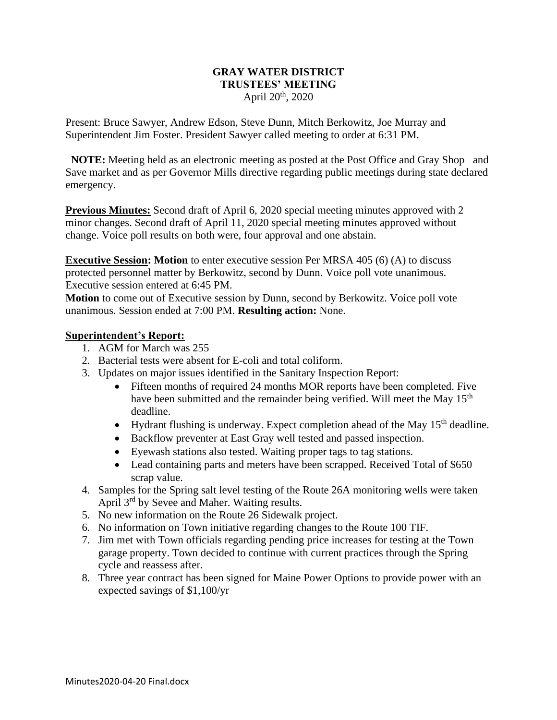#### **GRAY WATER DISTRICT TRUSTEES' MEETING** April  $20<sup>th</sup>$ , 2020

Present: Bruce Sawyer, Andrew Edson, Steve Dunn, Mitch Berkowitz, Joe Murray and Superintendent Jim Foster. President Sawyer called meeting to order at 6:31 PM.

 **NOTE:** Meeting held as an electronic meeting as posted at the Post Office and Gray Shop and Save market and as per Governor Mills directive regarding public meetings during state declared emergency.

**Previous Minutes:** Second draft of April 6, 2020 special meeting minutes approved with 2 minor changes. Second draft of April 11, 2020 special meeting minutes approved without change. Voice poll results on both were, four approval and one abstain.

**Executive Session:** Motion to enter executive session Per MRSA 405 (6) (A) to discuss protected personnel matter by Berkowitz, second by Dunn. Voice poll vote unanimous. Executive session entered at 6:45 PM.

**Motion** to come out of Executive session by Dunn, second by Berkowitz. Voice poll vote unanimous. Session ended at 7:00 PM. **Resulting action:** None.

## **Superintendent's Report:**

- 1. AGM for March was 255
- 2. Bacterial tests were absent for E-coli and total coliform.
- 3. Updates on major issues identified in the Sanitary Inspection Report:
	- Fifteen months of required 24 months MOR reports have been completed. Five have been submitted and the remainder being verified. Will meet the May 15<sup>th</sup> deadline.
	- Hydrant flushing is underway. Expect completion ahead of the May  $15<sup>th</sup>$  deadline.
	- Backflow preventer at East Gray well tested and passed inspection.
	- Eyewash stations also tested. Waiting proper tags to tag stations.
	- Lead containing parts and meters have been scrapped. Received Total of \$650 scrap value.
- 4. Samples for the Spring salt level testing of the Route 26A monitoring wells were taken April 3rd by Sevee and Maher. Waiting results.
- 5. No new information on the Route 26 Sidewalk project.
- 6. No information on Town initiative regarding changes to the Route 100 TIF.
- 7. Jim met with Town officials regarding pending price increases for testing at the Town garage property. Town decided to continue with current practices through the Spring cycle and reassess after.
- 8. Three year contract has been signed for Maine Power Options to provide power with an expected savings of \$1,100/yr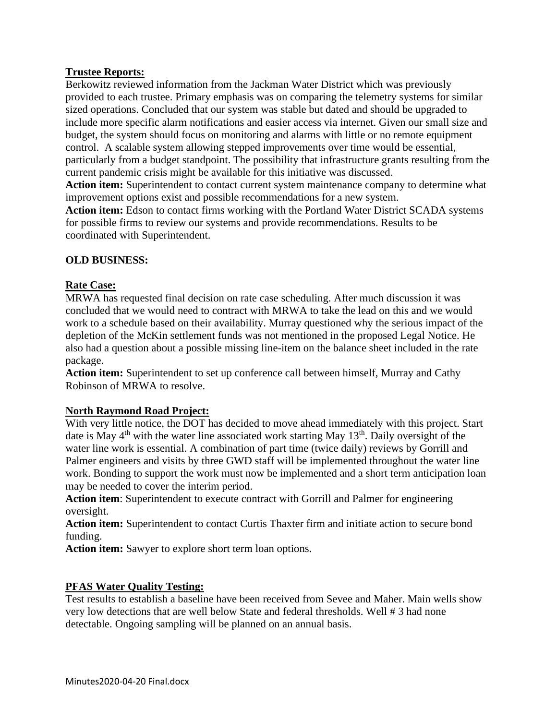# **Trustee Reports:**

Berkowitz reviewed information from the Jackman Water District which was previously provided to each trustee. Primary emphasis was on comparing the telemetry systems for similar sized operations. Concluded that our system was stable but dated and should be upgraded to include more specific alarm notifications and easier access via internet. Given our small size and budget, the system should focus on monitoring and alarms with little or no remote equipment control. A scalable system allowing stepped improvements over time would be essential, particularly from a budget standpoint. The possibility that infrastructure grants resulting from the current pandemic crisis might be available for this initiative was discussed.

**Action item:** Superintendent to contact current system maintenance company to determine what improvement options exist and possible recommendations for a new system.

**Action item:** Edson to contact firms working with the Portland Water District SCADA systems for possible firms to review our systems and provide recommendations. Results to be coordinated with Superintendent.

# **OLD BUSINESS:**

## **Rate Case:**

MRWA has requested final decision on rate case scheduling. After much discussion it was concluded that we would need to contract with MRWA to take the lead on this and we would work to a schedule based on their availability. Murray questioned why the serious impact of the depletion of the McKin settlement funds was not mentioned in the proposed Legal Notice. He also had a question about a possible missing line-item on the balance sheet included in the rate package.

**Action item:** Superintendent to set up conference call between himself, Murray and Cathy Robinson of MRWA to resolve.

#### **North Raymond Road Project:**

With very little notice, the DOT has decided to move ahead immediately with this project. Start date is May  $4<sup>th</sup>$  with the water line associated work starting May  $13<sup>th</sup>$ . Daily oversight of the water line work is essential. A combination of part time (twice daily) reviews by Gorrill and Palmer engineers and visits by three GWD staff will be implemented throughout the water line work. Bonding to support the work must now be implemented and a short term anticipation loan may be needed to cover the interim period.

**Action item**: Superintendent to execute contract with Gorrill and Palmer for engineering oversight.

**Action item:** Superintendent to contact Curtis Thaxter firm and initiate action to secure bond funding.

**Action item:** Sawyer to explore short term loan options.

#### **PFAS Water Quality Testing:**

Test results to establish a baseline have been received from Sevee and Maher. Main wells show very low detections that are well below State and federal thresholds. Well # 3 had none detectable. Ongoing sampling will be planned on an annual basis.